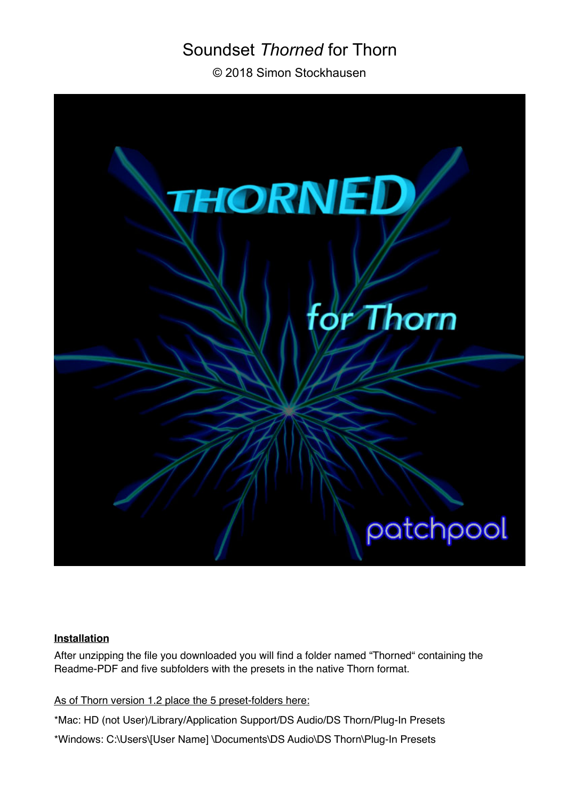# Soundset *Thorned* for Thorn

© 2018 Simon Stockhausen



## **Installation**

After unzipping the file you downloaded you will find a folder named "Thorned" containing the Readme-PDF and five subfolders with the presets in the native Thorn format.

As of Thorn version 1.2 place the 5 preset-folders here:

\*Mac: HD (not User)/Library/Application Support/DS Audio/DS Thorn/Plug-In Presets

\*Windows: C:\Users\[User Name] \Documents\DS Audio\DS Thorn\Plug-In Presets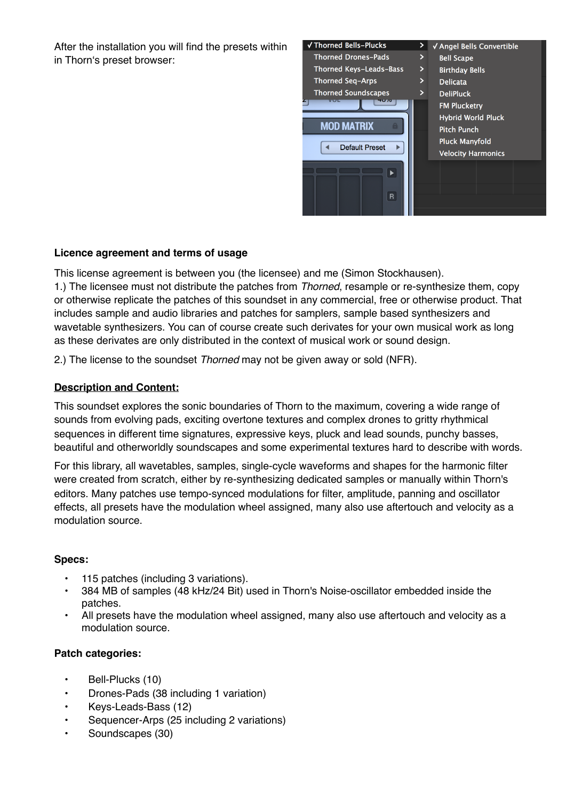After the installation you will find the presets within in Thorn's preset browser:



## **Licence agreement and terms of usage**

This license agreement is between you (the licensee) and me (Simon Stockhausen). 1.) The licensee must not distribute the patches from *Thorned*, resample or re-synthesize them, copy or otherwise replicate the patches of this soundset in any commercial, free or otherwise product. That includes sample and audio libraries and patches for samplers, sample based synthesizers and wavetable synthesizers. You can of course create such derivates for your own musical work as long as these derivates are only distributed in the context of musical work or sound design.

2.) The license to the soundset *Thorned* may not be given away or sold (NFR).

## **Description and Content:**

This soundset explores the sonic boundaries of Thorn to the maximum, covering a wide range of sounds from evolving pads, exciting overtone textures and complex drones to gritty rhythmical sequences in different time signatures, expressive keys, pluck and lead sounds, punchy basses, beautiful and otherworldly soundscapes and some experimental textures hard to describe with words.

For this library, all wavetables, samples, single-cycle waveforms and shapes for the harmonic filter were created from scratch, either by re-synthesizing dedicated samples or manually within Thorn's editors. Many patches use tempo-synced modulations for filter, amplitude, panning and oscillator effects, all presets have the modulation wheel assigned, many also use aftertouch and velocity as a modulation source.

### **Specs:**

- 115 patches (including 3 variations).
- 384 MB of samples (48 kHz/24 Bit) used in Thorn's Noise-oscillator embedded inside the patches.
- All presets have the modulation wheel assigned, many also use aftertouch and velocity as a modulation source.

### **Patch categories:**

- Bell-Plucks (10)
- Drones-Pads (38 including 1 variation)
- Keys-Leads-Bass (12)
- Sequencer-Arps (25 including 2 variations)
- Soundscapes (30)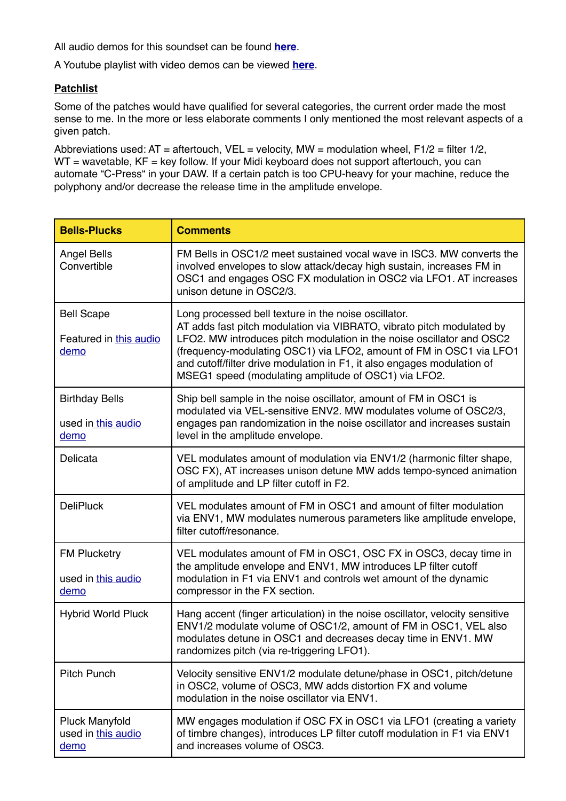All audio demos for this soundset can be found **[here](https://soundcloud.com/sampleconstruct/sets/soundset-thorned-for-thorn)**.

A Youtube playlist with video demos can be viewed **[here](https://www.youtube.com/watch?v=c0VWK-5xUVs&list=PLdDy6n1e-aeOR5NEUxpP0kQJOVjWBWqJU)**.

### **Patchlist**

Some of the patches would have qualified for several categories, the current order made the most sense to me. In the more or less elaborate comments I only mentioned the most relevant aspects of a given patch.

Abbreviations used:  $AT =$  aftertouch,  $VEL =$  velocity,  $MW =$  modulation wheel,  $F1/2 =$  filter  $1/2$ ,  $WT =$  wavetable,  $KF =$  key follow. If your Midi keyboard does not support aftertouch, you can automate "C-Press" in your DAW. If a certain patch is too CPU-heavy for your machine, reduce the polyphony and/or decrease the release time in the amplitude envelope.

| <b>Bells-Plucks</b>                                 | <b>Comments</b>                                                                                                                                                                                                                                                                                                                                                                                                  |
|-----------------------------------------------------|------------------------------------------------------------------------------------------------------------------------------------------------------------------------------------------------------------------------------------------------------------------------------------------------------------------------------------------------------------------------------------------------------------------|
| Angel Bells<br>Convertible                          | FM Bells in OSC1/2 meet sustained vocal wave in ISC3. MW converts the<br>involved envelopes to slow attack/decay high sustain, increases FM in<br>OSC1 and engages OSC FX modulation in OSC2 via LFO1. AT increases<br>unison detune in OSC2/3.                                                                                                                                                                  |
| <b>Bell Scape</b><br>Featured in this audio<br>demo | Long processed bell texture in the noise oscillator.<br>AT adds fast pitch modulation via VIBRATO, vibrato pitch modulated by<br>LFO2. MW introduces pitch modulation in the noise oscillator and OSC2<br>(frequency-modulating OSC1) via LFO2, amount of FM in OSC1 via LFO1<br>and cutoff/filter drive modulation in F1, it also engages modulation of<br>MSEG1 speed (modulating amplitude of OSC1) via LFO2. |
| <b>Birthday Bells</b><br>used in this audio<br>demo | Ship bell sample in the noise oscillator, amount of FM in OSC1 is<br>modulated via VEL-sensitive ENV2. MW modulates volume of OSC2/3,<br>engages pan randomization in the noise oscillator and increases sustain<br>level in the amplitude envelope.                                                                                                                                                             |
| Delicata                                            | VEL modulates amount of modulation via ENV1/2 (harmonic filter shape,<br>OSC FX), AT increases unison detune MW adds tempo-synced animation<br>of amplitude and LP filter cutoff in F2.                                                                                                                                                                                                                          |
| <b>DeliPluck</b>                                    | VEL modulates amount of FM in OSC1 and amount of filter modulation<br>via ENV1, MW modulates numerous parameters like amplitude envelope,<br>filter cutoff/resonance.                                                                                                                                                                                                                                            |
| <b>FM Plucketry</b><br>used in this audio<br>demo   | VEL modulates amount of FM in OSC1, OSC FX in OSC3, decay time in<br>the amplitude envelope and ENV1, MW introduces LP filter cutoff<br>modulation in F1 via ENV1 and controls wet amount of the dynamic<br>compressor in the FX section.                                                                                                                                                                        |
| <b>Hybrid World Pluck</b>                           | Hang accent (finger articulation) in the noise oscillator, velocity sensitive<br>ENV1/2 modulate volume of OSC1/2, amount of FM in OSC1, VEL also<br>modulates detune in OSC1 and decreases decay time in ENV1. MW<br>randomizes pitch (via re-triggering LFO1).                                                                                                                                                 |
| <b>Pitch Punch</b>                                  | Velocity sensitive ENV1/2 modulate detune/phase in OSC1, pitch/detune<br>in OSC2, volume of OSC3, MW adds distortion FX and volume<br>modulation in the noise oscillator via ENV1.                                                                                                                                                                                                                               |
| <b>Pluck Manyfold</b><br>used in this audio<br>demo | MW engages modulation if OSC FX in OSC1 via LFO1 (creating a variety<br>of timbre changes), introduces LP filter cutoff modulation in F1 via ENV1<br>and increases volume of OSC3.                                                                                                                                                                                                                               |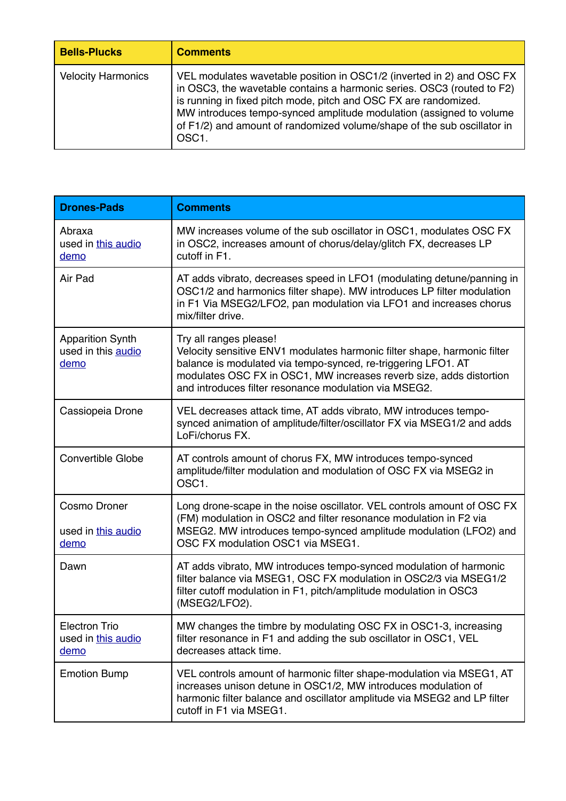| <b>Bells-Plucks</b>       | <b>Comments</b>                                                                                                                                                                                                                                                                                                                                                                           |
|---------------------------|-------------------------------------------------------------------------------------------------------------------------------------------------------------------------------------------------------------------------------------------------------------------------------------------------------------------------------------------------------------------------------------------|
| <b>Velocity Harmonics</b> | VEL modulates wavetable position in OSC1/2 (inverted in 2) and OSC FX<br>in OSC3, the wavetable contains a harmonic series. OSC3 (routed to F2)<br>is running in fixed pitch mode, pitch and OSC FX are randomized.<br>MW introduces tempo-synced amplitude modulation (assigned to volume<br>of F1/2) and amount of randomized volume/shape of the sub oscillator in<br>OSC <sub>1</sub> |

| <b>Drones-Pads</b>                                    | <b>Comments</b>                                                                                                                                                                                                                                                                                     |
|-------------------------------------------------------|-----------------------------------------------------------------------------------------------------------------------------------------------------------------------------------------------------------------------------------------------------------------------------------------------------|
| Abraxa<br>used in this audio<br>demo                  | MW increases volume of the sub oscillator in OSC1, modulates OSC FX<br>in OSC2, increases amount of chorus/delay/glitch FX, decreases LP<br>cutoff in F1.                                                                                                                                           |
| Air Pad                                               | AT adds vibrato, decreases speed in LFO1 (modulating detune/panning in<br>OSC1/2 and harmonics filter shape). MW introduces LP filter modulation<br>in F1 Via MSEG2/LFO2, pan modulation via LFO1 and increases chorus<br>mix/filter drive.                                                         |
| <b>Apparition Synth</b><br>used in this audio<br>demo | Try all ranges please!<br>Velocity sensitive ENV1 modulates harmonic filter shape, harmonic filter<br>balance is modulated via tempo-synced, re-triggering LFO1. AT<br>modulates OSC FX in OSC1, MW increases reverb size, adds distortion<br>and introduces filter resonance modulation via MSEG2. |
| Cassiopeia Drone                                      | VEL decreases attack time, AT adds vibrato, MW introduces tempo-<br>synced animation of amplitude/filter/oscillator FX via MSEG1/2 and adds<br>LoFi/chorus FX.                                                                                                                                      |
| <b>Convertible Globe</b>                              | AT controls amount of chorus FX, MW introduces tempo-synced<br>amplitude/filter modulation and modulation of OSC FX via MSEG2 in<br>OSC1.                                                                                                                                                           |
| Cosmo Droner<br>used in this audio<br>demo            | Long drone-scape in the noise oscillator. VEL controls amount of OSC FX<br>(FM) modulation in OSC2 and filter resonance modulation in F2 via<br>MSEG2. MW introduces tempo-synced amplitude modulation (LFO2) and<br>OSC FX modulation OSC1 via MSEG1.                                              |
| Dawn                                                  | AT adds vibrato, MW introduces tempo-synced modulation of harmonic<br>filter balance via MSEG1, OSC FX modulation in OSC2/3 via MSEG1/2<br>filter cutoff modulation in F1, pitch/amplitude modulation in OSC3<br>(MSEG2/LFO2).                                                                      |
| <b>Electron Trio</b><br>used in this audio<br>demo    | MW changes the timbre by modulating OSC FX in OSC1-3, increasing<br>filter resonance in F1 and adding the sub oscillator in OSC1, VEL<br>decreases attack time.                                                                                                                                     |
| <b>Emotion Bump</b>                                   | VEL controls amount of harmonic filter shape-modulation via MSEG1, AT<br>increases unison detune in OSC1/2, MW introduces modulation of<br>harmonic filter balance and oscillator amplitude via MSEG2 and LP filter<br>cutoff in F1 via MSEG1.                                                      |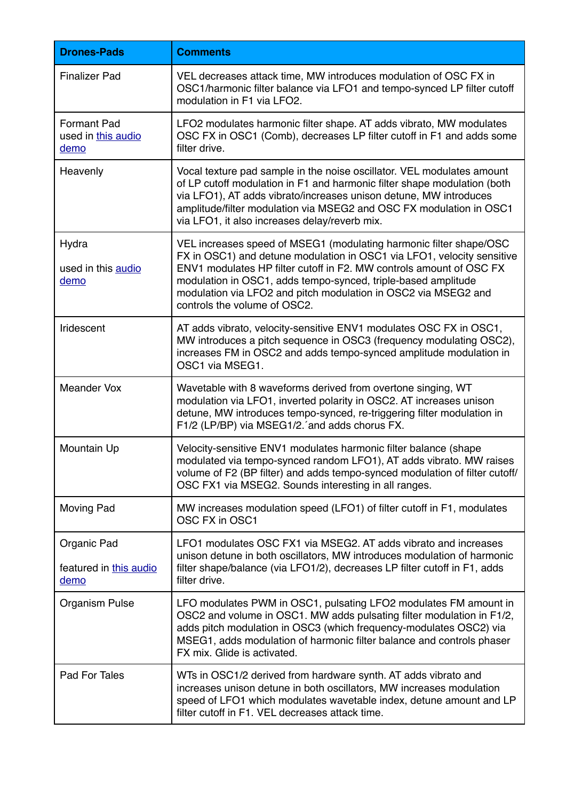| <b>Drones-Pads</b>                               | <b>Comments</b>                                                                                                                                                                                                                                                                                                                                                                        |
|--------------------------------------------------|----------------------------------------------------------------------------------------------------------------------------------------------------------------------------------------------------------------------------------------------------------------------------------------------------------------------------------------------------------------------------------------|
| <b>Finalizer Pad</b>                             | VEL decreases attack time, MW introduces modulation of OSC FX in<br>OSC1/harmonic filter balance via LFO1 and tempo-synced LP filter cutoff<br>modulation in F1 via LFO2.                                                                                                                                                                                                              |
| <b>Formant Pad</b><br>used in this audio<br>demo | LFO2 modulates harmonic filter shape. AT adds vibrato, MW modulates<br>OSC FX in OSC1 (Comb), decreases LP filter cutoff in F1 and adds some<br>filter drive.                                                                                                                                                                                                                          |
| Heavenly                                         | Vocal texture pad sample in the noise oscillator. VEL modulates amount<br>of LP cutoff modulation in F1 and harmonic filter shape modulation (both<br>via LFO1), AT adds vibrato/increases unison detune, MW introduces<br>amplitude/filter modulation via MSEG2 and OSC FX modulation in OSC1<br>via LFO1, it also increases delay/reverb mix.                                        |
| Hydra<br>used in this audio<br>demo              | VEL increases speed of MSEG1 (modulating harmonic filter shape/OSC<br>FX in OSC1) and detune modulation in OSC1 via LFO1, velocity sensitive<br>ENV1 modulates HP filter cutoff in F2. MW controls amount of OSC FX<br>modulation in OSC1, adds tempo-synced, triple-based amplitude<br>modulation via LFO2 and pitch modulation in OSC2 via MSEG2 and<br>controls the volume of OSC2. |
| Iridescent                                       | AT adds vibrato, velocity-sensitive ENV1 modulates OSC FX in OSC1,<br>MW introduces a pitch sequence in OSC3 (frequency modulating OSC2),<br>increases FM in OSC2 and adds tempo-synced amplitude modulation in<br>OSC1 via MSEG1.                                                                                                                                                     |
| <b>Meander Vox</b>                               | Wavetable with 8 waveforms derived from overtone singing, WT<br>modulation via LFO1, inverted polarity in OSC2. AT increases unison<br>detune, MW introduces tempo-synced, re-triggering filter modulation in<br>F1/2 (LP/BP) via MSEG1/2. and adds chorus FX.                                                                                                                         |
| Mountain Up                                      | Velocity-sensitive ENV1 modulates harmonic filter balance (shape<br>modulated via tempo-synced random LFO1), AT adds vibrato. MW raises<br>volume of F2 (BP filter) and adds tempo-synced modulation of filter cutoff/<br>OSC FX1 via MSEG2. Sounds interesting in all ranges.                                                                                                         |
| <b>Moving Pad</b>                                | MW increases modulation speed (LFO1) of filter cutoff in F1, modulates<br>OSC FX in OSC1                                                                                                                                                                                                                                                                                               |
| Organic Pad<br>featured in this audio<br>demo    | LFO1 modulates OSC FX1 via MSEG2. AT adds vibrato and increases<br>unison detune in both oscillators, MW introduces modulation of harmonic<br>filter shape/balance (via LFO1/2), decreases LP filter cutoff in F1, adds<br>filter drive.                                                                                                                                               |
| <b>Organism Pulse</b>                            | LFO modulates PWM in OSC1, pulsating LFO2 modulates FM amount in<br>OSC2 and volume in OSC1. MW adds pulsating filter modulation in F1/2,<br>adds pitch modulation in OSC3 (which frequency-modulates OSC2) via<br>MSEG1, adds modulation of harmonic filter balance and controls phaser<br>FX mix. Glide is activated.                                                                |
| Pad For Tales                                    | WTs in OSC1/2 derived from hardware synth. AT adds vibrato and<br>increases unison detune in both oscillators, MW increases modulation<br>speed of LFO1 which modulates wavetable index, detune amount and LP<br>filter cutoff in F1. VEL decreases attack time.                                                                                                                       |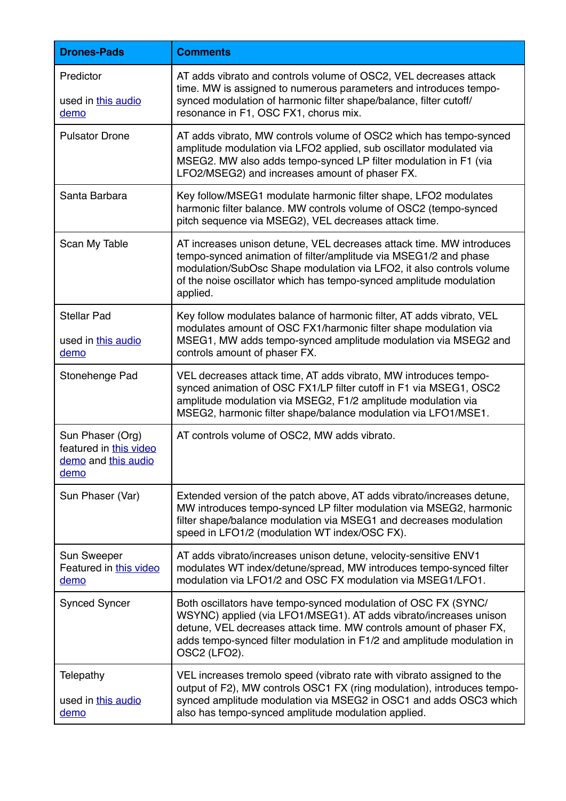| <b>Drones-Pads</b>                                                        | <b>Comments</b>                                                                                                                                                                                                                                                                                       |
|---------------------------------------------------------------------------|-------------------------------------------------------------------------------------------------------------------------------------------------------------------------------------------------------------------------------------------------------------------------------------------------------|
| Predictor<br>used in this audio<br>demo                                   | AT adds vibrato and controls volume of OSC2, VEL decreases attack<br>time. MW is assigned to numerous parameters and introduces tempo-<br>synced modulation of harmonic filter shape/balance, filter cutoff/<br>resonance in F1, OSC FX1, chorus mix.                                                 |
| <b>Pulsator Drone</b>                                                     | AT adds vibrato, MW controls volume of OSC2 which has tempo-synced<br>amplitude modulation via LFO2 applied, sub oscillator modulated via<br>MSEG2. MW also adds tempo-synced LP filter modulation in F1 (via<br>LFO2/MSEG2) and increases amount of phaser FX.                                       |
| Santa Barbara                                                             | Key follow/MSEG1 modulate harmonic filter shape, LFO2 modulates<br>harmonic filter balance. MW controls volume of OSC2 (tempo-synced<br>pitch sequence via MSEG2), VEL decreases attack time.                                                                                                         |
| Scan My Table                                                             | AT increases unison detune, VEL decreases attack time. MW introduces<br>tempo-synced animation of filter/amplitude via MSEG1/2 and phase<br>modulation/SubOsc Shape modulation via LFO2, it also controls volume<br>of the noise oscillator which has tempo-synced amplitude modulation<br>applied.   |
| <b>Stellar Pad</b><br>used in this audio<br>demo                          | Key follow modulates balance of harmonic filter, AT adds vibrato, VEL<br>modulates amount of OSC FX1/harmonic filter shape modulation via<br>MSEG1, MW adds tempo-synced amplitude modulation via MSEG2 and<br>controls amount of phaser FX.                                                          |
| Stonehenge Pad                                                            | VEL decreases attack time, AT adds vibrato, MW introduces tempo-<br>synced animation of OSC FX1/LP filter cutoff in F1 via MSEG1, OSC2<br>amplitude modulation via MSEG2, F1/2 amplitude modulation via<br>MSEG2, harmonic filter shape/balance modulation via LFO1/MSE1.                             |
| Sun Phaser (Org)<br>featured in this video<br>demo and this audio<br>demo | AT controls volume of OSC2, MW adds vibrato.                                                                                                                                                                                                                                                          |
| Sun Phaser (Var)                                                          | Extended version of the patch above, AT adds vibrato/increases detune,<br>MW introduces tempo-synced LP filter modulation via MSEG2, harmonic<br>filter shape/balance modulation via MSEG1 and decreases modulation<br>speed in LFO1/2 (modulation WT index/OSC FX).                                  |
| <b>Sun Sweeper</b><br>Featured in this video<br>demo                      | AT adds vibrato/increases unison detune, velocity-sensitive ENV1<br>modulates WT index/detune/spread, MW introduces tempo-synced filter<br>modulation via LFO1/2 and OSC FX modulation via MSEG1/LFO1.                                                                                                |
| <b>Synced Syncer</b>                                                      | Both oscillators have tempo-synced modulation of OSC FX (SYNC/<br>WSYNC) applied (via LFO1/MSEG1). AT adds vibrato/increases unison<br>detune, VEL decreases attack time. MW controls amount of phaser FX,<br>adds tempo-synced filter modulation in F1/2 and amplitude modulation in<br>OSC2 (LFO2). |
| Telepathy<br>used in this audio<br>demo                                   | VEL increases tremolo speed (vibrato rate with vibrato assigned to the<br>output of F2), MW controls OSC1 FX (ring modulation), introduces tempo-<br>synced amplitude modulation via MSEG2 in OSC1 and adds OSC3 which<br>also has tempo-synced amplitude modulation applied.                         |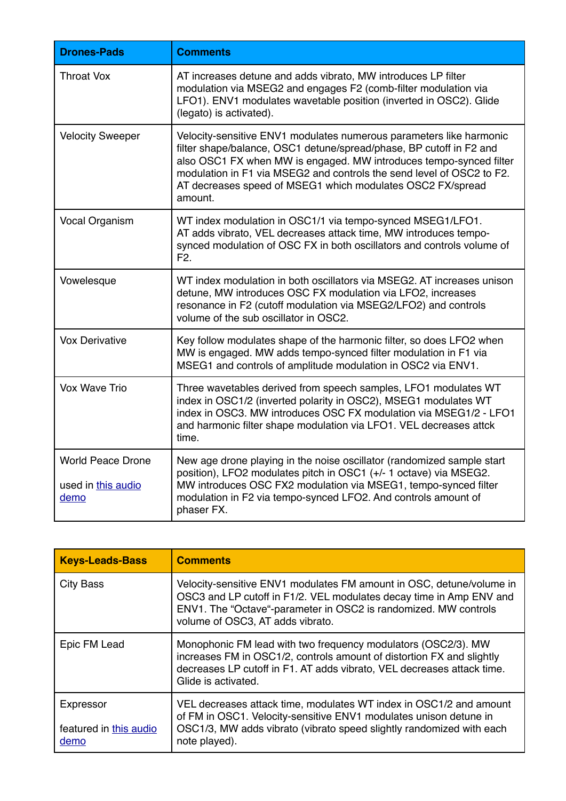| <b>Drones-Pads</b>                                     | <b>Comments</b>                                                                                                                                                                                                                                                                                                                                                    |
|--------------------------------------------------------|--------------------------------------------------------------------------------------------------------------------------------------------------------------------------------------------------------------------------------------------------------------------------------------------------------------------------------------------------------------------|
| <b>Throat Vox</b>                                      | AT increases detune and adds vibrato, MW introduces LP filter<br>modulation via MSEG2 and engages F2 (comb-filter modulation via<br>LFO1). ENV1 modulates wavetable position (inverted in OSC2). Glide<br>(legato) is activated).                                                                                                                                  |
| <b>Velocity Sweeper</b>                                | Velocity-sensitive ENV1 modulates numerous parameters like harmonic<br>filter shape/balance, OSC1 detune/spread/phase, BP cutoff in F2 and<br>also OSC1 FX when MW is engaged. MW introduces tempo-synced filter<br>modulation in F1 via MSEG2 and controls the send level of OSC2 to F2.<br>AT decreases speed of MSEG1 which modulates OSC2 FX/spread<br>amount. |
| Vocal Organism                                         | WT index modulation in OSC1/1 via tempo-synced MSEG1/LFO1.<br>AT adds vibrato, VEL decreases attack time, MW introduces tempo-<br>synced modulation of OSC FX in both oscillators and controls volume of<br>F <sub>2</sub> .                                                                                                                                       |
| Vowelesque                                             | WT index modulation in both oscillators via MSEG2. AT increases unison<br>detune, MW introduces OSC FX modulation via LFO2, increases<br>resonance in F2 (cutoff modulation via MSEG2/LFO2) and controls<br>volume of the sub oscillator in OSC2.                                                                                                                  |
| <b>Vox Derivative</b>                                  | Key follow modulates shape of the harmonic filter, so does LFO2 when<br>MW is engaged. MW adds tempo-synced filter modulation in F1 via<br>MSEG1 and controls of amplitude modulation in OSC2 via ENV1.                                                                                                                                                            |
| Vox Wave Trio                                          | Three wavetables derived from speech samples, LFO1 modulates WT<br>index in OSC1/2 (inverted polarity in OSC2), MSEG1 modulates WT<br>index in OSC3. MW introduces OSC FX modulation via MSEG1/2 - LFO1<br>and harmonic filter shape modulation via LFO1. VEL decreases attck<br>time.                                                                             |
| <b>World Peace Drone</b><br>used in this audio<br>demo | New age drone playing in the noise oscillator (randomized sample start<br>position), LFO2 modulates pitch in OSC1 (+/- 1 octave) via MSEG2.<br>MW introduces OSC FX2 modulation via MSEG1, tempo-synced filter<br>modulation in F2 via tempo-synced LFO2. And controls amount of<br>phaser FX.                                                                     |

| <b>Keys-Leads-Bass</b>                      | <b>Comments</b>                                                                                                                                                                                                                                    |
|---------------------------------------------|----------------------------------------------------------------------------------------------------------------------------------------------------------------------------------------------------------------------------------------------------|
| <b>City Bass</b>                            | Velocity-sensitive ENV1 modulates FM amount in OSC, detune/volume in<br>OSC3 and LP cutoff in F1/2. VEL modulates decay time in Amp ENV and<br>ENV1. The "Octave"-parameter in OSC2 is randomized. MW controls<br>volume of OSC3, AT adds vibrato. |
| Epic FM Lead                                | Monophonic FM lead with two frequency modulators (OSC2/3). MW<br>increases FM in OSC1/2, controls amount of distortion FX and slightly<br>decreases LP cutoff in F1. AT adds vibrato, VEL decreases attack time.<br>Glide is activated.            |
| Expressor<br>featured in this audio<br>demo | VEL decreases attack time, modulates WT index in OSC1/2 and amount<br>of FM in OSC1. Velocity-sensitive ENV1 modulates unison detune in<br>OSC1/3, MW adds vibrato (vibrato speed slightly randomized with each<br>note played).                   |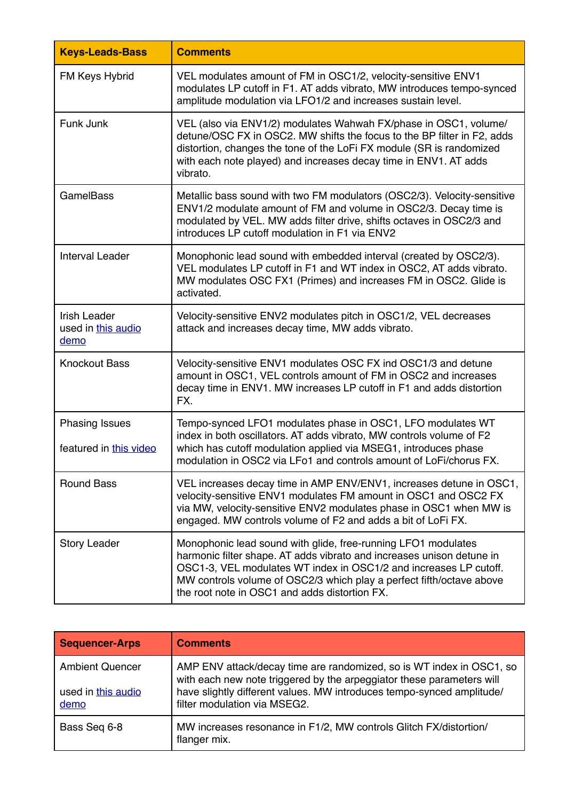| <b>Keys-Leads-Bass</b>                            | <b>Comments</b>                                                                                                                                                                                                                                                                                                                      |
|---------------------------------------------------|--------------------------------------------------------------------------------------------------------------------------------------------------------------------------------------------------------------------------------------------------------------------------------------------------------------------------------------|
| FM Keys Hybrid                                    | VEL modulates amount of FM in OSC1/2, velocity-sensitive ENV1<br>modulates LP cutoff in F1. AT adds vibrato, MW introduces tempo-synced<br>amplitude modulation via LFO1/2 and increases sustain level.                                                                                                                              |
| Funk Junk                                         | VEL (also via ENV1/2) modulates Wahwah FX/phase in OSC1, volume/<br>detune/OSC FX in OSC2. MW shifts the focus to the BP filter in F2, adds<br>distortion, changes the tone of the LoFi FX module (SR is randomized<br>with each note played) and increases decay time in ENV1. AT adds<br>vibrato.                                  |
| <b>GamelBass</b>                                  | Metallic bass sound with two FM modulators (OSC2/3). Velocity-sensitive<br>ENV1/2 modulate amount of FM and volume in OSC2/3. Decay time is<br>modulated by VEL. MW adds filter drive, shifts octaves in OSC2/3 and<br>introduces LP cutoff modulation in F1 via ENV2                                                                |
| <b>Interval Leader</b>                            | Monophonic lead sound with embedded interval (created by OSC2/3).<br>VEL modulates LP cutoff in F1 and WT index in OSC2, AT adds vibrato.<br>MW modulates OSC FX1 (Primes) and increases FM in OSC2. Glide is<br>activated.                                                                                                          |
| <b>Irish Leader</b><br>used in this audio<br>demo | Velocity-sensitive ENV2 modulates pitch in OSC1/2, VEL decreases<br>attack and increases decay time, MW adds vibrato.                                                                                                                                                                                                                |
| <b>Knockout Bass</b>                              | Velocity-sensitive ENV1 modulates OSC FX ind OSC1/3 and detune<br>amount in OSC1, VEL controls amount of FM in OSC2 and increases<br>decay time in ENV1. MW increases LP cutoff in F1 and adds distortion<br>FX.                                                                                                                     |
| <b>Phasing Issues</b><br>featured in this video   | Tempo-synced LFO1 modulates phase in OSC1, LFO modulates WT<br>index in both oscillators. AT adds vibrato, MW controls volume of F2<br>which has cutoff modulation applied via MSEG1, introduces phase<br>modulation in OSC2 via LFo1 and controls amount of LoFi/chorus FX.                                                         |
| <b>Round Bass</b>                                 | VEL increases decay time in AMP ENV/ENV1, increases detune in OSC1,<br>velocity-sensitive ENV1 modulates FM amount in OSC1 and OSC2 FX<br>via MW, velocity-sensitive ENV2 modulates phase in OSC1 when MW is<br>engaged. MW controls volume of F2 and adds a bit of LoFi FX.                                                         |
| <b>Story Leader</b>                               | Monophonic lead sound with glide, free-running LFO1 modulates<br>harmonic filter shape. AT adds vibrato and increases unison detune in<br>OSC1-3, VEL modulates WT index in OSC1/2 and increases LP cutoff.<br>MW controls volume of OSC2/3 which play a perfect fifth/octave above<br>the root note in OSC1 and adds distortion FX. |

| <b>Sequencer-Arps</b>      | <b>Comments</b>                                                                                                                               |
|----------------------------|-----------------------------------------------------------------------------------------------------------------------------------------------|
| <b>Ambient Quencer</b>     | AMP ENV attack/decay time are randomized, so is WT index in OSC1, so<br>with each new note triggered by the arpeggiator these parameters will |
| used in this audio<br>demo | have slightly different values. MW introduces tempo-synced amplitude/<br>filter modulation via MSEG2.                                         |
| Bass Seg 6-8               | MW increases resonance in F1/2, MW controls Glitch FX/distortion/<br>flanger mix.                                                             |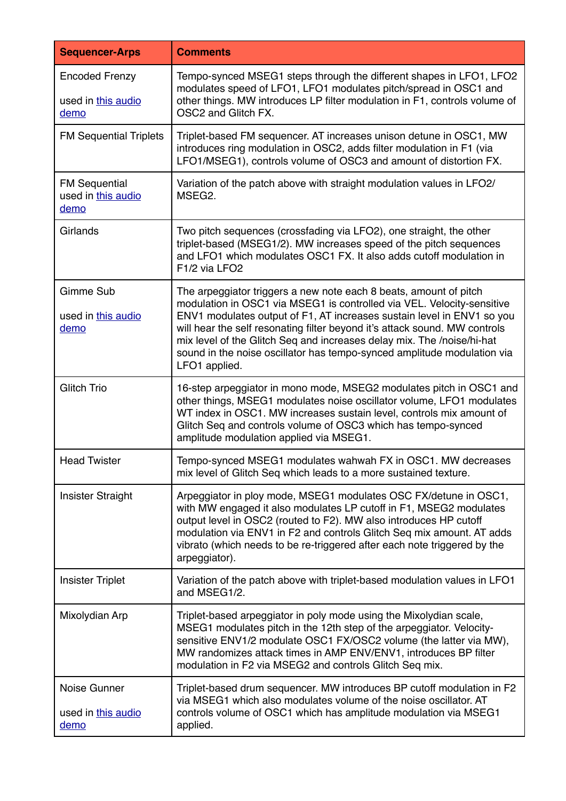| <b>Sequencer-Arps</b>                               | <b>Comments</b>                                                                                                                                                                                                                                                                                                                                                                                                                                                           |
|-----------------------------------------------------|---------------------------------------------------------------------------------------------------------------------------------------------------------------------------------------------------------------------------------------------------------------------------------------------------------------------------------------------------------------------------------------------------------------------------------------------------------------------------|
| <b>Encoded Frenzy</b><br>used in this audio<br>demo | Tempo-synced MSEG1 steps through the different shapes in LFO1, LFO2<br>modulates speed of LFO1, LFO1 modulates pitch/spread in OSC1 and<br>other things. MW introduces LP filter modulation in F1, controls volume of<br>OSC2 and Glitch FX.                                                                                                                                                                                                                              |
| <b>FM Sequential Triplets</b>                       | Triplet-based FM sequencer. AT increases unison detune in OSC1, MW<br>introduces ring modulation in OSC2, adds filter modulation in F1 (via<br>LFO1/MSEG1), controls volume of OSC3 and amount of distortion FX.                                                                                                                                                                                                                                                          |
| <b>FM Sequential</b><br>used in this audio<br>demo  | Variation of the patch above with straight modulation values in LFO2/<br>MSEG2.                                                                                                                                                                                                                                                                                                                                                                                           |
| Girlands                                            | Two pitch sequences (crossfading via LFO2), one straight, the other<br>triplet-based (MSEG1/2). MW increases speed of the pitch sequences<br>and LFO1 which modulates OSC1 FX. It also adds cutoff modulation in<br>F1/2 via LFO2                                                                                                                                                                                                                                         |
| Gimme Sub<br>used in this audio<br>demo             | The arpeggiator triggers a new note each 8 beats, amount of pitch<br>modulation in OSC1 via MSEG1 is controlled via VEL. Velocity-sensitive<br>ENV1 modulates output of F1, AT increases sustain level in ENV1 so you<br>will hear the self resonating filter beyond it's attack sound. MW controls<br>mix level of the Glitch Seq and increases delay mix. The /noise/hi-hat<br>sound in the noise oscillator has tempo-synced amplitude modulation via<br>LFO1 applied. |
| <b>Glitch Trio</b>                                  | 16-step arpeggiator in mono mode, MSEG2 modulates pitch in OSC1 and<br>other things, MSEG1 modulates noise oscillator volume, LFO1 modulates<br>WT index in OSC1. MW increases sustain level, controls mix amount of<br>Glitch Seq and controls volume of OSC3 which has tempo-synced<br>amplitude modulation applied via MSEG1.                                                                                                                                          |
| <b>Head Twister</b>                                 | Tempo-synced MSEG1 modulates wahwah FX in OSC1. MW decreases<br>mix level of Glitch Seq which leads to a more sustained texture.                                                                                                                                                                                                                                                                                                                                          |
| Insister Straight                                   | Arpeggiator in ploy mode, MSEG1 modulates OSC FX/detune in OSC1,<br>with MW engaged it also modulates LP cutoff in F1, MSEG2 modulates<br>output level in OSC2 (routed to F2). MW also introduces HP cutoff<br>modulation via ENV1 in F2 and controls Glitch Seq mix amount. AT adds<br>vibrato (which needs to be re-triggered after each note triggered by the<br>arpeggiator).                                                                                         |
| <b>Insister Triplet</b>                             | Variation of the patch above with triplet-based modulation values in LFO1<br>and MSEG1/2.                                                                                                                                                                                                                                                                                                                                                                                 |
| Mixolydian Arp                                      | Triplet-based arpeggiator in poly mode using the Mixolydian scale,<br>MSEG1 modulates pitch in the 12th step of the arpeggiator. Velocity-<br>sensitive ENV1/2 modulate OSC1 FX/OSC2 volume (the latter via MW),<br>MW randomizes attack times in AMP ENV/ENV1, introduces BP filter<br>modulation in F2 via MSEG2 and controls Glitch Seq mix.                                                                                                                           |
| Noise Gunner<br>used in this audio<br>demo          | Triplet-based drum sequencer. MW introduces BP cutoff modulation in F2<br>via MSEG1 which also modulates volume of the noise oscillator. AT<br>controls volume of OSC1 which has amplitude modulation via MSEG1<br>applied.                                                                                                                                                                                                                                               |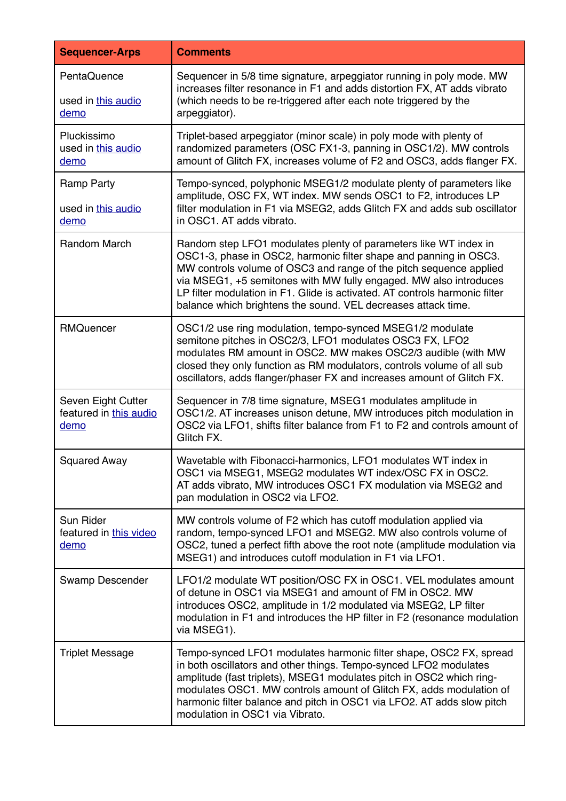| <b>Sequencer-Arps</b>                                | <b>Comments</b>                                                                                                                                                                                                                                                                                                                                                                                                                  |
|------------------------------------------------------|----------------------------------------------------------------------------------------------------------------------------------------------------------------------------------------------------------------------------------------------------------------------------------------------------------------------------------------------------------------------------------------------------------------------------------|
| PentaQuence<br>used in this audio<br>demo            | Sequencer in 5/8 time signature, arpeggiator running in poly mode. MW<br>increases filter resonance in F1 and adds distortion FX, AT adds vibrato<br>(which needs to be re-triggered after each note triggered by the<br>arpeggiator).                                                                                                                                                                                           |
| Pluckissimo<br>used in this audio<br>demo            | Triplet-based arpeggiator (minor scale) in poly mode with plenty of<br>randomized parameters (OSC FX1-3, panning in OSC1/2). MW controls<br>amount of Glitch FX, increases volume of F2 and OSC3, adds flanger FX.                                                                                                                                                                                                               |
| Ramp Party<br>used in this audio<br>demo             | Tempo-synced, polyphonic MSEG1/2 modulate plenty of parameters like<br>amplitude, OSC FX, WT index. MW sends OSC1 to F2, introduces LP<br>filter modulation in F1 via MSEG2, adds Glitch FX and adds sub oscillator<br>in OSC1. AT adds vibrato.                                                                                                                                                                                 |
| Random March                                         | Random step LFO1 modulates plenty of parameters like WT index in<br>OSC1-3, phase in OSC2, harmonic filter shape and panning in OSC3.<br>MW controls volume of OSC3 and range of the pitch sequence applied<br>via MSEG1, +5 semitones with MW fully engaged. MW also introduces<br>LP filter modulation in F1. Glide is activated. AT controls harmonic filter<br>balance which brightens the sound. VEL decreases attack time. |
| RMQuencer                                            | OSC1/2 use ring modulation, tempo-synced MSEG1/2 modulate<br>semitone pitches in OSC2/3, LFO1 modulates OSC3 FX, LFO2<br>modulates RM amount in OSC2. MW makes OSC2/3 audible (with MW<br>closed they only function as RM modulators, controls volume of all sub<br>oscillators, adds flanger/phaser FX and increases amount of Glitch FX.                                                                                       |
| Seven Eight Cutter<br>featured in this audio<br>demo | Sequencer in 7/8 time signature, MSEG1 modulates amplitude in<br>OSC1/2. AT increases unison detune, MW introduces pitch modulation in<br>OSC2 via LFO1, shifts filter balance from F1 to F2 and controls amount of<br>Glitch FX.                                                                                                                                                                                                |
| <b>Squared Away</b>                                  | Wavetable with Fibonacci-harmonics, LFO1 modulates WT index in<br>OSC1 via MSEG1, MSEG2 modulates WT index/OSC FX in OSC2.<br>AT adds vibrato, MW introduces OSC1 FX modulation via MSEG2 and<br>pan modulation in OSC2 via LFO2.                                                                                                                                                                                                |
| Sun Rider<br>featured in this video<br>demo          | MW controls volume of F2 which has cutoff modulation applied via<br>random, tempo-synced LFO1 and MSEG2. MW also controls volume of<br>OSC2, tuned a perfect fifth above the root note (amplitude modulation via<br>MSEG1) and introduces cutoff modulation in F1 via LFO1.                                                                                                                                                      |
| Swamp Descender                                      | LFO1/2 modulate WT position/OSC FX in OSC1. VEL modulates amount<br>of detune in OSC1 via MSEG1 and amount of FM in OSC2. MW<br>introduces OSC2, amplitude in 1/2 modulated via MSEG2, LP filter<br>modulation in F1 and introduces the HP filter in F2 (resonance modulation<br>via MSEG1).                                                                                                                                     |
| <b>Triplet Message</b>                               | Tempo-synced LFO1 modulates harmonic filter shape, OSC2 FX, spread<br>in both oscillators and other things. Tempo-synced LFO2 modulates<br>amplitude (fast triplets), MSEG1 modulates pitch in OSC2 which ring-<br>modulates OSC1. MW controls amount of Glitch FX, adds modulation of<br>harmonic filter balance and pitch in OSC1 via LFO2. AT adds slow pitch<br>modulation in OSC1 via Vibrato.                              |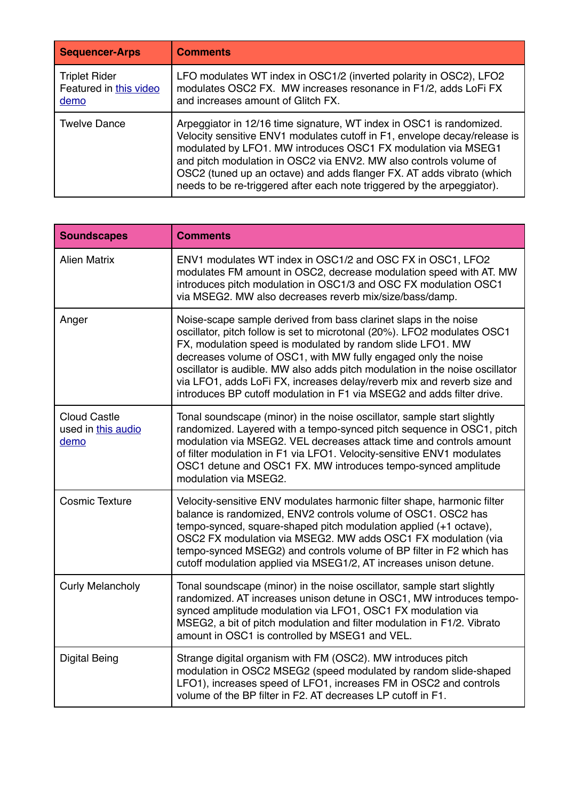| <b>Sequencer-Arps</b>                                  | <b>Comments</b>                                                                                                                                                                                                                                                                                                                                                                                                                             |
|--------------------------------------------------------|---------------------------------------------------------------------------------------------------------------------------------------------------------------------------------------------------------------------------------------------------------------------------------------------------------------------------------------------------------------------------------------------------------------------------------------------|
| <b>Triplet Rider</b><br>Featured in this video<br>demo | LFO modulates WT index in OSC1/2 (inverted polarity in OSC2), LFO2<br>modulates OSC2 FX. MW increases resonance in F1/2, adds LoFi FX<br>and increases amount of Glitch FX.                                                                                                                                                                                                                                                                 |
| <b>Twelve Dance</b>                                    | Arpeggiator in 12/16 time signature, WT index in OSC1 is randomized.<br>Velocity sensitive ENV1 modulates cutoff in F1, envelope decay/release is<br>modulated by LFO1. MW introduces OSC1 FX modulation via MSEG1<br>and pitch modulation in OSC2 via ENV2. MW also controls volume of<br>OSC2 (tuned up an octave) and adds flanger FX. AT adds vibrato (which<br>needs to be re-triggered after each note triggered by the arpeggiator). |

| <b>Soundscapes</b>                                | <b>Comments</b>                                                                                                                                                                                                                                                                                                                                                                                                                                                                                                  |
|---------------------------------------------------|------------------------------------------------------------------------------------------------------------------------------------------------------------------------------------------------------------------------------------------------------------------------------------------------------------------------------------------------------------------------------------------------------------------------------------------------------------------------------------------------------------------|
| <b>Alien Matrix</b>                               | ENV1 modulates WT index in OSC1/2 and OSC FX in OSC1, LFO2<br>modulates FM amount in OSC2, decrease modulation speed with AT. MW<br>introduces pitch modulation in OSC1/3 and OSC FX modulation OSC1<br>via MSEG2. MW also decreases reverb mix/size/bass/damp.                                                                                                                                                                                                                                                  |
| Anger                                             | Noise-scape sample derived from bass clarinet slaps in the noise<br>oscillator, pitch follow is set to microtonal (20%). LFO2 modulates OSC1<br>FX, modulation speed is modulated by random slide LFO1. MW<br>decreases volume of OSC1, with MW fully engaged only the noise<br>oscillator is audible. MW also adds pitch modulation in the noise oscillator<br>via LFO1, adds LoFi FX, increases delay/reverb mix and reverb size and<br>introduces BP cutoff modulation in F1 via MSEG2 and adds filter drive. |
| <b>Cloud Castle</b><br>used in this audio<br>demo | Tonal soundscape (minor) in the noise oscillator, sample start slightly<br>randomized. Layered with a tempo-synced pitch sequence in OSC1, pitch<br>modulation via MSEG2. VEL decreases attack time and controls amount<br>of filter modulation in F1 via LFO1. Velocity-sensitive ENV1 modulates<br>OSC1 detune and OSC1 FX. MW introduces tempo-synced amplitude<br>modulation via MSEG2.                                                                                                                      |
| <b>Cosmic Texture</b>                             | Velocity-sensitive ENV modulates harmonic filter shape, harmonic filter<br>balance is randomized, ENV2 controls volume of OSC1. OSC2 has<br>tempo-synced, square-shaped pitch modulation applied (+1 octave),<br>OSC2 FX modulation via MSEG2. MW adds OSC1 FX modulation (via<br>tempo-synced MSEG2) and controls volume of BP filter in F2 which has<br>cutoff modulation applied via MSEG1/2, AT increases unison detune.                                                                                     |
| <b>Curly Melancholy</b>                           | Tonal soundscape (minor) in the noise oscillator, sample start slightly<br>randomized. AT increases unison detune in OSC1, MW introduces tempo-<br>synced amplitude modulation via LFO1, OSC1 FX modulation via<br>MSEG2, a bit of pitch modulation and filter modulation in F1/2. Vibrato<br>amount in OSC1 is controlled by MSEG1 and VEL.                                                                                                                                                                     |
| <b>Digital Being</b>                              | Strange digital organism with FM (OSC2). MW introduces pitch<br>modulation in OSC2 MSEG2 (speed modulated by random slide-shaped<br>LFO1), increases speed of LFO1, increases FM in OSC2 and controls<br>volume of the BP filter in F2. AT decreases LP cutoff in F1.                                                                                                                                                                                                                                            |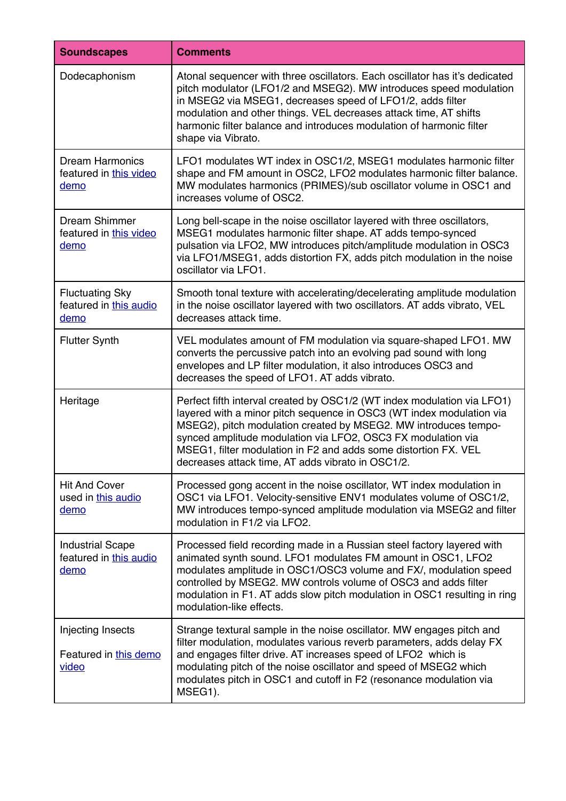| <b>Soundscapes</b>                                        | <b>Comments</b>                                                                                                                                                                                                                                                                                                                                                                                            |
|-----------------------------------------------------------|------------------------------------------------------------------------------------------------------------------------------------------------------------------------------------------------------------------------------------------------------------------------------------------------------------------------------------------------------------------------------------------------------------|
| Dodecaphonism                                             | Atonal sequencer with three oscillators. Each oscillator has it's dedicated<br>pitch modulator (LFO1/2 and MSEG2). MW introduces speed modulation<br>in MSEG2 via MSEG1, decreases speed of LFO1/2, adds filter<br>modulation and other things. VEL decreases attack time, AT shifts<br>harmonic filter balance and introduces modulation of harmonic filter<br>shape via Vibrato.                         |
| <b>Dream Harmonics</b><br>featured in this video<br>demo  | LFO1 modulates WT index in OSC1/2, MSEG1 modulates harmonic filter<br>shape and FM amount in OSC2, LFO2 modulates harmonic filter balance.<br>MW modulates harmonics (PRIMES)/sub oscillator volume in OSC1 and<br>increases volume of OSC2.                                                                                                                                                               |
| Dream Shimmer<br>featured in this video<br>demo           | Long bell-scape in the noise oscillator layered with three oscillators,<br>MSEG1 modulates harmonic filter shape. AT adds tempo-synced<br>pulsation via LFO2, MW introduces pitch/amplitude modulation in OSC3<br>via LFO1/MSEG1, adds distortion FX, adds pitch modulation in the noise<br>oscillator via LFO1.                                                                                           |
| <b>Fluctuating Sky</b><br>featured in this audio<br>demo  | Smooth tonal texture with accelerating/decelerating amplitude modulation<br>in the noise oscillator layered with two oscillators. AT adds vibrato, VEL<br>decreases attack time.                                                                                                                                                                                                                           |
| <b>Flutter Synth</b>                                      | VEL modulates amount of FM modulation via square-shaped LFO1. MW<br>converts the percussive patch into an evolving pad sound with long<br>envelopes and LP filter modulation, it also introduces OSC3 and<br>decreases the speed of LFO1. AT adds vibrato.                                                                                                                                                 |
| Heritage                                                  | Perfect fifth interval created by OSC1/2 (WT index modulation via LFO1)<br>layered with a minor pitch sequence in OSC3 (WT index modulation via<br>MSEG2), pitch modulation created by MSEG2. MW introduces tempo-<br>synced amplitude modulation via LFO2, OSC3 FX modulation via<br>MSEG1, filter modulation in F2 and adds some distortion FX. VEL<br>decreases attack time, AT adds vibrato in OSC1/2. |
| <b>Hit And Cover</b><br>used in this audio<br>demo        | Processed gong accent in the noise oscillator, WT index modulation in<br>OSC1 via LFO1. Velocity-sensitive ENV1 modulates volume of OSC1/2,<br>MW introduces tempo-synced amplitude modulation via MSEG2 and filter<br>modulation in F1/2 via LFO2.                                                                                                                                                        |
| <b>Industrial Scape</b><br>featured in this audio<br>demo | Processed field recording made in a Russian steel factory layered with<br>animated synth sound. LFO1 modulates FM amount in OSC1, LFO2<br>modulates amplitude in OSC1/OSC3 volume and FX/, modulation speed<br>controlled by MSEG2. MW controls volume of OSC3 and adds filter<br>modulation in F1. AT adds slow pitch modulation in OSC1 resulting in ring<br>modulation-like effects.                    |
| Injecting Insects<br>Featured in this demo<br>video       | Strange textural sample in the noise oscillator. MW engages pitch and<br>filter modulation, modulates various reverb parameters, adds delay FX<br>and engages filter drive. AT increases speed of LFO2 which is<br>modulating pitch of the noise oscillator and speed of MSEG2 which<br>modulates pitch in OSC1 and cutoff in F2 (resonance modulation via<br>MSEG1).                                      |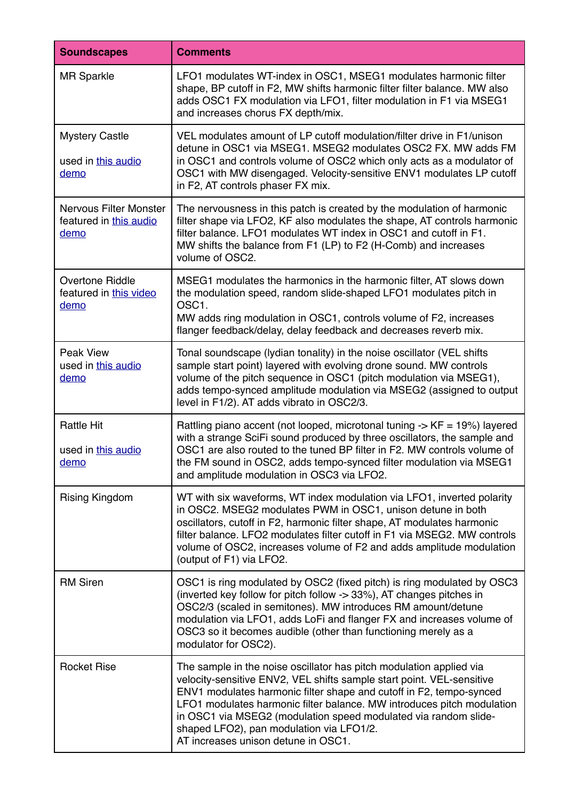| <b>Soundscapes</b>                                              | <b>Comments</b>                                                                                                                                                                                                                                                                                                                                                                                                                                     |
|-----------------------------------------------------------------|-----------------------------------------------------------------------------------------------------------------------------------------------------------------------------------------------------------------------------------------------------------------------------------------------------------------------------------------------------------------------------------------------------------------------------------------------------|
| <b>MR Sparkle</b>                                               | LFO1 modulates WT-index in OSC1, MSEG1 modulates harmonic filter<br>shape, BP cutoff in F2, MW shifts harmonic filter filter balance. MW also<br>adds OSC1 FX modulation via LFO1, filter modulation in F1 via MSEG1<br>and increases chorus FX depth/mix.                                                                                                                                                                                          |
| <b>Mystery Castle</b><br>used in this audio<br>demo             | VEL modulates amount of LP cutoff modulation/filter drive in F1/unison<br>detune in OSC1 via MSEG1. MSEG2 modulates OSC2 FX. MW adds FM<br>in OSC1 and controls volume of OSC2 which only acts as a modulator of<br>OSC1 with MW disengaged. Velocity-sensitive ENV1 modulates LP cutoff<br>in F2, AT controls phaser FX mix.                                                                                                                       |
| <b>Nervous Filter Monster</b><br>featured in this audio<br>demo | The nervousness in this patch is created by the modulation of harmonic<br>filter shape via LFO2, KF also modulates the shape, AT controls harmonic<br>filter balance. LFO1 modulates WT index in OSC1 and cutoff in F1.<br>MW shifts the balance from F1 (LP) to F2 (H-Comb) and increases<br>volume of OSC2.                                                                                                                                       |
| Overtone Riddle<br>featured in this video<br>demo               | MSEG1 modulates the harmonics in the harmonic filter, AT slows down<br>the modulation speed, random slide-shaped LFO1 modulates pitch in<br>OSC1.<br>MW adds ring modulation in OSC1, controls volume of F2, increases<br>flanger feedback/delay, delay feedback and decreases reverb mix.                                                                                                                                                          |
| Peak View<br>used in this audio<br>demo                         | Tonal soundscape (lydian tonality) in the noise oscillator (VEL shifts<br>sample start point) layered with evolving drone sound. MW controls<br>volume of the pitch sequence in OSC1 (pitch modulation via MSEG1),<br>adds tempo-synced amplitude modulation via MSEG2 (assigned to output<br>level in F1/2). AT adds vibrato in OSC2/3.                                                                                                            |
| <b>Rattle Hit</b><br>used in this audio<br>demo                 | Rattling piano accent (not looped, microtonal tuning $\rightarrow$ KF = 19%) layered<br>with a strange SciFi sound produced by three oscillators, the sample and<br>OSC1 are also routed to the tuned BP filter in F2. MW controls volume of<br>the FM sound in OSC2, adds tempo-synced filter modulation via MSEG1<br>and amplitude modulation in OSC3 via LFO2.                                                                                   |
| <b>Rising Kingdom</b>                                           | WT with six waveforms, WT index modulation via LFO1, inverted polarity<br>in OSC2. MSEG2 modulates PWM in OSC1, unison detune in both<br>oscillators, cutoff in F2, harmonic filter shape, AT modulates harmonic<br>filter balance. LFO2 modulates filter cutoff in F1 via MSEG2. MW controls<br>volume of OSC2, increases volume of F2 and adds amplitude modulation<br>(output of F1) via LFO2.                                                   |
| <b>RM Siren</b>                                                 | OSC1 is ring modulated by OSC2 (fixed pitch) is ring modulated by OSC3<br>(inverted key follow for pitch follow -> 33%), AT changes pitches in<br>OSC2/3 (scaled in semitones). MW introduces RM amount/detune<br>modulation via LFO1, adds LoFi and flanger FX and increases volume of<br>OSC3 so it becomes audible (other than functioning merely as a<br>modulator for OSC2).                                                                   |
| <b>Rocket Rise</b>                                              | The sample in the noise oscillator has pitch modulation applied via<br>velocity-sensitive ENV2, VEL shifts sample start point. VEL-sensitive<br>ENV1 modulates harmonic filter shape and cutoff in F2, tempo-synced<br>LFO1 modulates harmonic filter balance. MW introduces pitch modulation<br>in OSC1 via MSEG2 (modulation speed modulated via random slide-<br>shaped LFO2), pan modulation via LFO1/2.<br>AT increases unison detune in OSC1. |